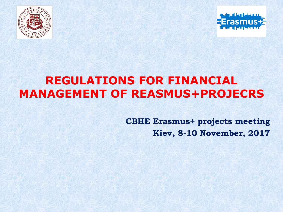



## **REGULATIONS FOR FINANCIAL MANAGEMENT OF REASMUS+PROJECRS**

**CBHE Erasmus+ projects meeting Kiev, 8-10 November, 2017**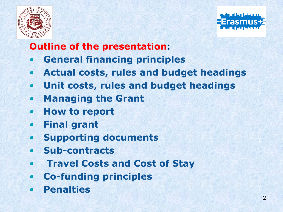



## **Outline of the presentation:**

- **General financing principles**
- **Actual costs, rules and budget headings**
- **Unit costs, rules and budget headings**
- **Managing the Grant**
- **How to report**
- **Final grant**
- **Supporting documents**
- **Sub-contracts**
- **Travel Costs and Cost of Stay**
- **Co-funding principles**
- **Penalties**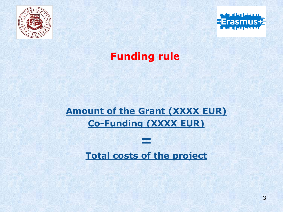



## **Funding rule**

## **Amount of the Grant (XXXX EUR) Co-Funding (XXXX EUR)**

#### **Total costs of the project**

*=*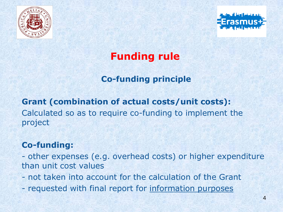



## **Funding rule**

#### **Co-funding principle**

**Grant (combination of actual costs/unit costs):**  Calculated so as to require co-funding to implement the project

#### **Co-funding:**

- other expenses (e.g. overhead costs) or higher expenditure than unit cost values

- not taken into account for the calculation of the Grant
- requested with final report for information purposes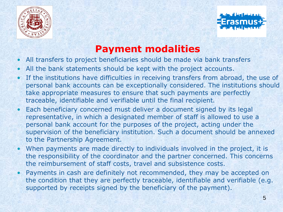



## **Payment modalities**

- All transfers to project beneficiaries should be made via bank transfers
- All the bank statements should be kept with the project accounts.
- If the institutions have difficulties in receiving transfers from abroad, the use of personal bank accounts can be exceptionally considered. The institutions should take appropriate measures to ensure that such payments are perfectly traceable, identifiable and verifiable until the final recipient.
- Each beneficiary concerned must deliver a document signed by its legal representative, in which a designated member of staff is allowed to use a personal bank account for the purposes of the project, acting under the supervision of the beneficiary institution. Such a document should be annexed to the Partnership Agreement.
- When payments are made directly to individuals involved in the project, it is the responsibility of the coordinator and the partner concerned. This concerns the reimbursement of staff costs, travel and subsistence costs.
- Payments in cash are definitely not recommended, they may be accepted on the condition that they are perfectly traceable, identifiable and verifiable (e.g. supported by receipts signed by the beneficiary of the payment).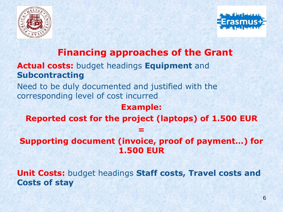



#### **Financing approaches of the Grant**

#### **Actual costs:** budget headings **Equipment** and **Subcontracting**

Need to be duly documented and justified with the corresponding level of cost incurred

#### **Example:**

**Reported cost for the project (laptops) of 1.500 EUR** 

**=**

**Supporting document (invoice, proof of payment…) for 1.500 EUR** 

**Unit Costs:** budget headings **Staff costs, Travel costs and Costs of stay**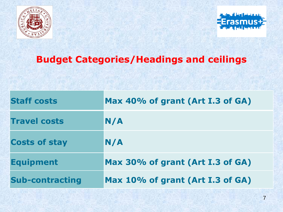



## **Budget Categories/Headings and ceilings**

| <b>Staff costs</b>     | Max 40% of grant (Art I.3 of GA) |
|------------------------|----------------------------------|
| <b>Travel costs</b>    | N/A                              |
| <b>Costs of stay</b>   | N/A                              |
| <b>Equipment</b>       | Max 30% of grant (Art I.3 of GA) |
| <b>Sub-contracting</b> | Max 10% of grant (Art I.3 of GA) |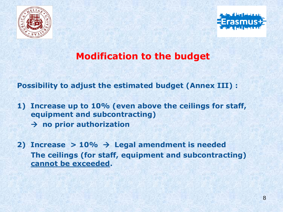



## **Modification to the budget**

**Possibility to adjust the estimated budget (Annex III) :**

- **1) Increase up to 10% (even above the ceilings for staff, equipment and subcontracting) no prior authorization**
- **2) Increase > 10%**  $\rightarrow$  **Legal amendment is needed The ceilings (for staff, equipment and subcontracting) cannot be exceeded.**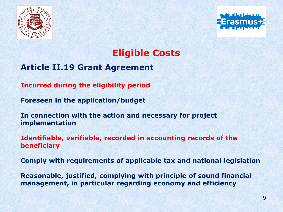



### **Eligible Costs**

#### **Article II.19 Grant Agreement**

**Incurred during the eligibility period**

**Foreseen in the application/budget**

**In connection with the action and necessary for project implementation**

**Identifiable, verifiable, recorded in accounting records of the beneficiary**

**Comply with requirements of applicable tax and national legislation**

**Reasonable, justified, complying with principle of sound financial management, in particular regarding economy and efficiency**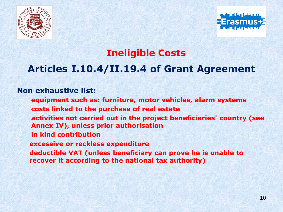



### **Ineligible Costs**

## **Articles I.10.4/II.19.4 of Grant Agreement**

#### **Non exhaustive list:**

- ✓ **equipment such as: furniture, motor vehicles, alarm systems** ✓ **costs linked to the purchase of real estate**
- ✓ **activities not carried out in the project beneficiaries' country (see Annex IV), unless prior authorisation**
- ✓ **in kind contribution**
- **excessive or reckless expenditure**
- ✓ **deductible VAT (unless beneficiary can prove he is unable to recover it according to the national tax authority)**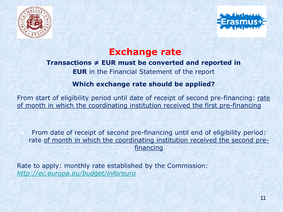



#### **Exchange rate**

#### **Transactions ≠ EUR must be converted and reported in**

**EUR** in the Financial Statement of the report

#### **Which exchange rate should be applied?**

From start of eligibility period until date of receipt of second pre-financing: rate of month in which the coordinating institution received the first pre-financing

• From date of receipt of second pre-financing until end of eligibility period: rate of month in which the coordinating institution received the second prefinancing

Rate to apply: monthly rate established by the Commission: *<http://ec.europa.eu/budget/inforeuro>*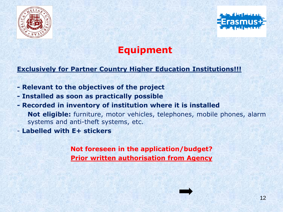



### **Equipment**

#### **Exclusively for Partner Country Higher Education Institutions!!!**

- **- Relevant to the objectives of the project**
- **- Installed as soon as practically possible**
- **- Recorded in inventory of institution where it is installed Not eligible:** furniture, motor vehicles, telephones, mobile phones, alarm systems and anti-theft systems, etc.
- **Labelled with E+ stickers**

**Not foreseen in the application/budget? Prior written authorisation from Agency**

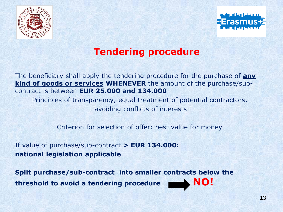



### **Tendering procedure**

The beneficiary shall apply the tendering procedure for the purchase of **any kind of goods or services WHENEVER** the amount of the purchase/subcontract is between **EUR 25.000 and 134.000**

Principles of transparency, equal treatment of potential contractors, avoiding conflicts of interests

Criterion for selection of offer: best value for money

If value of purchase/sub-contract **> EUR 134.000: national legislation applicable**

**Split purchase/sub-contract into smaller contracts below the threshold to avoid a tendering procedure NO!**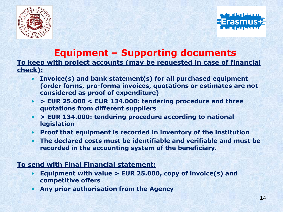



#### **Equipment – Supporting documents**

#### **To keep with project accounts (may be requested in case of financial check):**

- **Invoice(s) and bank statement(s) for all purchased equipment (order forms, pro-forma invoices, quotations or estimates are not considered as proof of expenditure)**
- **> EUR 25.000 < EUR 134.000: tendering procedure and three quotations from different suppliers**
- **> EUR 134.000: tendering procedure according to national legislation**
- **Proof that equipment is recorded in inventory of the institution**
- **The declared costs must be identifiable and verifiable and must be recorded in the accounting system of the beneficiary.**

#### **To send with Final Financial statement:**

- **Equipment with value > EUR 25.000, copy of invoice(s) and competitive offers**
- **Any prior authorisation from the Agency**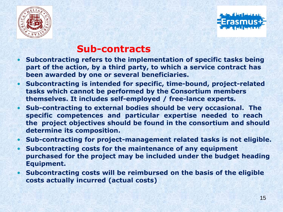



#### **Sub-contracts**

- **Subcontracting refers to the implementation of specific tasks being part of the action, by a third party, to which a service contract has been awarded by one or several beneficiaries.**
- **Subcontracting is intended for specific, time-bound, project-related tasks which cannot be performed by the Consortium members themselves. It includes self-employed / free-lance experts.**
- **Sub-contracting to external bodies should be very occasional. The specific competences and particular expertise needed to reach the project objectives should be found in the consortium and should determine its composition.**
- **Sub-contracting for project-management related tasks is not eligible.**
- **Subcontracting costs for the maintenance of any equipment purchased for the project may be included under the budget heading Equipment.**
- **Subcontracting costs will be reimbursed on the basis of the eligible costs actually incurred (actual costs)**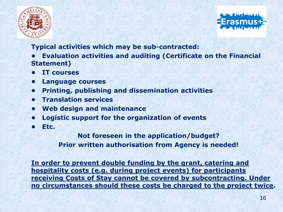



**Typical activities which may be sub-contracted:**

**• Evaluation activities and auditing (Certificate on the Financial Statement)**

- **IT courses**
- **Language courses**
- **Printing, publishing and dissemination activities**
- **Translation services**
- **Web design and maintenance**
- **Logistic support for the organization of events**
- **Etc.**

**Not foreseen in the application/budget? Prior written authorisation from Agency is needed!**

**In order to prevent double funding by the grant, catering and hospitality costs (e.g. during project events) for participants receiving Costs of Stay cannot be covered by subcontracting. Under no circumstances should these costs be charged to the project twice.**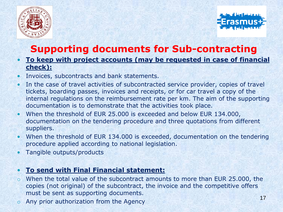



## **Supporting documents for Sub-contracting**

- **To keep with project accounts (may be requested in case of financial check):**
- Invoices, subcontracts and bank statements.
- In the case of travel activities of subcontracted service provider, copies of travel tickets, boarding passes, invoices and receipts, or for car travel a copy of the internal regulations on the reimbursement rate per km. The aim of the supporting documentation is to demonstrate that the activities took place.
- When the threshold of EUR 25.000 is exceeded and below EUR 134.000, documentation on the tendering procedure and three quotations from different suppliers.
- When the threshold of EUR 134.000 is exceeded, documentation on the tendering procedure applied according to national legislation.
- Tangible outputs/products

#### • **To send with Final Financial statement:**

- o When the total value of the subcontract amounts to more than EUR 25.000, the copies (not original) of the subcontract, the invoice and the competitive offers must be sent as supporting documents.
- o Any prior authorization from the Agency 17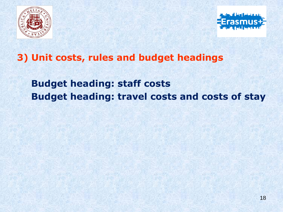



#### **3) Unit costs, rules and budget headings**

## **Budget heading: staff costs Budget heading: travel costs and costs of stay**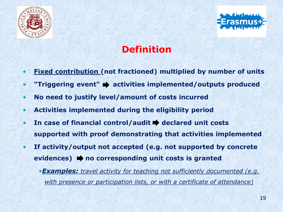



## **Definition**

- **Fixed contribution (not fractioned) multiplied by number of units**
- **"Triggering event"** activities implemented/outputs produced
- **No need to justify level/amount of costs incurred**
- **Activities implemented during the eligibility period**
- In case of financial control/audit **+** declared unit costs **supported with proof demonstrating that activities implemented**
- **If activity/output not accepted (e.g. not supported by concrete evidences) no corresponding unit costs is granted**
	- •*Examples: travel activity for teaching not sufficiently documented (e.g. with presence or participation lists, or with a certificate of attendance)*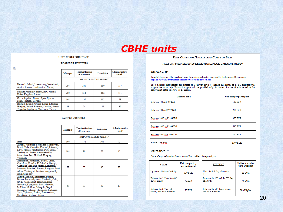#### *CBHE units*

#### **UNIT COSTS FOR STAFF**

#### **PROGRAMME COUNTRIES**

 $\ddot{\Phi}$ 

|                                                                                                                                        | <b>Manager</b>                 | Teacher/Trainer<br>Researcher | Technician | <b>Administrative</b><br>staff <sup>5</sup> |
|----------------------------------------------------------------------------------------------------------------------------------------|--------------------------------|-------------------------------|------------|---------------------------------------------|
|                                                                                                                                        | <b>AMOUNTS IN EURO PER DAY</b> |                               |            |                                             |
| Denmark, Ireland, Luxembourg, Netherlands,<br>Austria, Sweden, Liechtenstein, Norway                                                   | 294                            | 241                           | 190        | 157                                         |
| Belgium, Germany, France, Italy, Finland,<br>United Kingdom, Iceland                                                                   | 280                            | 214                           | 162        | 131                                         |
| Czech Republic, Greece, Spain, Cyprus,<br>Malta, Portugal, Slovenia                                                                    | 164                            | 137                           | 102        | 78                                          |
| Bulgaria, Estonia, Croatia, Latvia, Lithuania,<br>Hungary, Poland, Romania, Slovakia, former<br>Yugoslav Republic of Macedonia, Turkey | 88                             | 74                            | 55         | 39                                          |

#### **PARTNER COUNTRIES**

|                                                                                                                                                                                                                                                                                                                                      | Manager                        | Teacher/Trainer<br><b>/Researcher</b> | Technician | <b>Administrative</b><br>staff |
|--------------------------------------------------------------------------------------------------------------------------------------------------------------------------------------------------------------------------------------------------------------------------------------------------------------------------------------|--------------------------------|---------------------------------------|------------|--------------------------------|
|                                                                                                                                                                                                                                                                                                                                      | <b>AMOUNTS IN EURO PER DAY</b> |                                       |            |                                |
| Israel                                                                                                                                                                                                                                                                                                                               | 166                            | 132                                   | 102        | 92                             |
| Albania, Argentina, Bosnia and Herzegovina,<br>Brazil, Chile, Colombia, Kosovo <sup>6</sup> , Lebanon,<br>Libya, Mexico, Montenegro, Peru, Serbia,<br>Territory of Ukraine as recognised by<br>international law, Thailand, Uruguay,<br>Venezuela                                                                                    | 108                            | 80                                    | 57         | 45                             |
| Afghanistan, Azerbaijan, Bolivia, China,<br>Costa Rica, Ecuador, El Salvador, Georgia,<br>Guatemala, Iran, Iraq, Jordan, Kazakhstan,<br>Morocco, Palestine <sup>7</sup> , Panama, Paraguay, South<br>Africa, Territory of Russia as recognised by<br>international law                                                               | 77                             | 57                                    | 40         | 32                             |
| Algeria, Armenia, Bangladesh, Belarus,<br>Bhutan, Burma/Myanmar, Cambodia, Cuba,<br>(DPR) Korea, Egypt, Honduras, India,<br>Indonesia, Kyrgyzstan, Laos, Malaysia,<br>Maldives, Moldova, Mongolia, Nepal,<br>Nicaragua, Pakistan, Philippines, Sri Lanka,<br>Syria, Tajikistan, Tunisia, Turkmenistan,<br>Uzbekistan, Vietnam, Yemen | 47                             | 33                                    | 22         | 17                             |

#### UNIT COSTS FOR TRAVEL AND COSTS OF STAY

#### THESE UNIT COSTS ARE NOT APPLICABLE FOR THE "SPECIAL MOBILITY STRAND"

#### **TRAVEL COSTS<sup>8</sup>**

Travel distances must be calculated using the distance calculator supported by the European Commission: http://ec.europa.eu/programmes/erasmus-plus/tools/distance\_en.htm

The beneficiary must identify the distance of a one-way travel to calculate the amount of the EU grant that will support the round trip. Financial support will be provided only for travels that are directly related to the

| Distance band            | Unit cost per participant |
|--------------------------|---------------------------|
| Between 100 and 499 KM   | <b>180 EUR</b>            |
| Between 500 and 1999 KM  | <b>275 EUR</b>            |
| Between 2000 and 2999 KM | <b>360 EUR</b>            |
| Between 3000 and 3999 KM | <b>530 EUR</b>            |
| Between 4000 and 7999 KM | <b>820 EUR</b>            |
| 8000 KM or more          | 1100 EUR                  |

#### **COSTS OF STAY**

Costs of stay are based on the duration of the activities of the participants.

| <b>STAFF</b>                                                             | Unit cost per day<br>per participant | <b>STUDENT</b>                                                           | Unit cost per day<br>per participant |
|--------------------------------------------------------------------------|--------------------------------------|--------------------------------------------------------------------------|--------------------------------------|
| Up to the 14 <sup>th</sup> day of activity                               | <b>120 EUR</b>                       | Up to the $14th$ day of activity                                         | 55 EUR                               |
| Between the 15 <sup>th</sup> and the 60 <sup>th</sup><br>day of activity | <b>70 EUR</b>                        | Between the 15 <sup>th</sup> and the 60 <sup>th</sup> day<br>of activity | <b>40 EUR</b>                        |
| Between the 61st day of<br>activity and up to 3 months                   | <b>50 EUR</b>                        | Between the 61 <sup>st</sup> day of activity<br>and up to 3 months       | Not Eligible                         |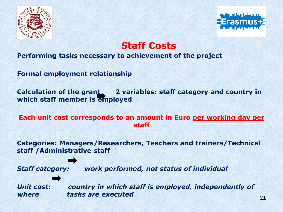



**Staff Costs**

#### **Performing tasks necessary to achievement of the project**

**Formal employment relationship** 

**Calculation of the grant, 2 variables: staff category and country in which staff member is employed**

**Each unit cost corresponds to an amount in Euro per working day per staff**

**Categories: Managers/Researchers, Teachers and trainers/Technical staff /Administrative staff** 

*Staff category: work performed, not status of individual*

*Unit cost: country in which staff is employed, independently of where* tasks are executed 21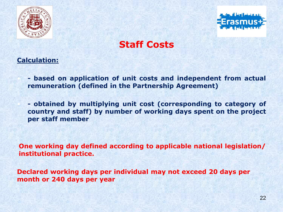



**Staff Costs** 

#### **Calculation:**

• **- based on application of unit costs and independent from actual remuneration (defined in the Partnership Agreement)**

• **- obtained by multiplying unit cost (corresponding to category of country and staff) by number of working days spent on the project per staff member**

**One working day defined according to applicable national legislation/ institutional practice.**

**Declared working days per individual may not exceed 20 days per month or 240 days per year**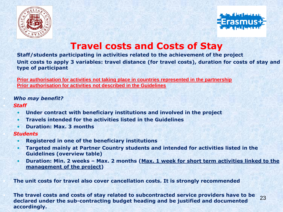



### **Travel costs and Costs of Stay**

**Staff/students participating in activities related to the achievement of the project Unit costs to apply 3 variables: travel distance (for travel costs), duration for costs of stay and type of participant**

**Prior authorisation for activities not taking place in countries represented in the partnership Prior authorisation for activities not described in the Guidelines**

#### • *Who may benefit?*

#### • *Staff*

- **Under contract with beneficiary institutions and involved in the project**
- **Travels intended for the activities listed in the Guidelines**
- **Duration: Max. 3 months**

#### • *Students*

- **Registered in one of the beneficiary institutions**
- **Targeted mainly at Partner Country students and intended for activities listed in the Guidelines (overview table)**
- **Duration: Min. 2 weeks – Max. 2 months (Max. 1 week for short term activities linked to the management of the project)**

• **The unit costs for travel also cover cancellation costs. It is strongly recommended**

• **The travel costs and costs of stay related to subcontracted service providers have to be declared under the sub-contracting budget heading and be justified and documented accordingly.** 23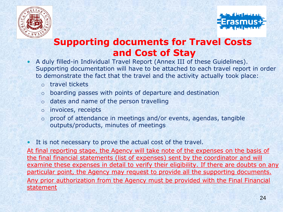



## **Supporting documents for Travel Costs and Cost of Stay**

- A duly filled-in Individual Travel Report (Annex III of these Guidelines). Supporting documentation will have to be attached to each travel report in order to demonstrate the fact that the travel and the activity actually took place:
	- o travel tickets
	- o boarding passes with points of departure and destination
	- o dates and name of the person travelling
	- o invoices, receipts
	- o proof of attendance in meetings and/or events, agendas, tangible outputs/products, minutes of meetings
- It is not necessary to prove the actual cost of the travel.

At final reporting stage, the Agency will take note of the expenses on the basis of the final financial statements (list of expenses) sent by the coordinator and will examine these expenses in detail to verify their eligibility. If there are doubts on any particular point, the Agency may request to provide all the supporting documents. Any prior authorization from the Agency must be provided with the Final Financial statement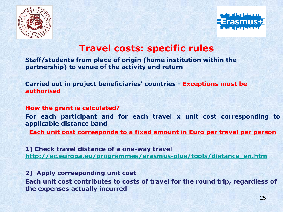



#### **Travel costs: specific rules**

**Staff/students from place of origin (home institution within the partnership) to venue of the activity and return** 

**Carried out in project beneficiaries' countries - Exceptions must be authorised** 

**How the grant is calculated?**

**For each participant and for each travel x unit cost corresponding to applicable distance band**

**Each unit cost corresponds to a fixed amount in Euro per travel per person**

**1) Check travel distance of a one-way travel [http://ec.europa.eu/programmes/erasmus-plus/tools/distance\\_en.htm](http://ec.europa.eu/programmes/erasmus-plus/tools/distance_en.htm)**

**2) Apply corresponding unit cost Each unit cost contributes to costs of travel for the round trip, regardless of the expenses actually incurred**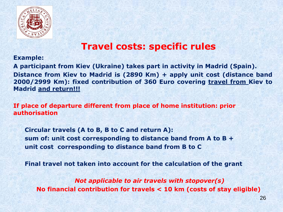

## **Travel costs: specific rules**

#### **Example:**

**A participant from Kiev (Ukraine) takes part in activity in Madrid (Spain). Distance from Kiev to Madrid is (2890 Km) + apply unit cost (distance band 2000/2999 Km): fixed contribution of 360 Euro covering travel from Kiev to Madrid and return!!!**

**If place of departure different from place of home institution: prior authorisation** 

**Circular travels (A to B, B to C and return A): sum of: unit cost corresponding to distance band from A to B + unit cost corresponding to distance band from B to C**

**Final travel not taken into account for the calculation of the grant**

*Not applicable to air travels with stopover(s)* **No financial contribution for travels < 10 km (costs of stay eligible)**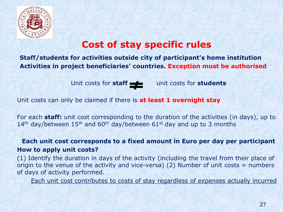

### **Cost of stay specific rules**

**Staff/students for activities outside city of participant's home institution Activities in project beneficiaries' countries. Exception must be authorised**

Unit costs for **staff unit costs for students** 

Unit costs can only be claimed if there is **at least 1 overnight stay**

For each **staff:** unit cost corresponding to the duration of the activities (in days), up to 14<sup>th</sup> day/between 15<sup>th</sup> and 60<sup>th</sup> day/between 61<sup>st</sup> day and up to 3 months

**Each unit cost corresponds to a fixed amount in Euro per day per participant How to apply unit costs?**

(1) Identify the duration in days of the activity (including the travel from their place of origin to the venue of the activity and vice-versa) (2) Number of unit costs  $=$  numbers of days of activity performed.

Each unit cost contributes to costs of stay regardless of expenses actually incurred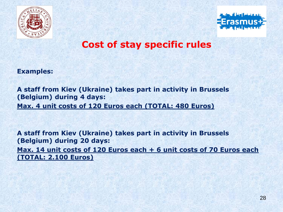



#### **Cost of stay specific rules**

**Examples:**

**A staff from Kiev (Ukraine) takes part in activity in Brussels (Belgium) during 4 days: Max. 4 unit costs of 120 Euros each (TOTAL: 480 Euros)**

**A staff from Kiev (Ukraine) takes part in activity in Brussels (Belgium) during 20 days: Max. 14 unit costs of 120 Euros each + 6 unit costs of 70 Euros each (TOTAL: 2.100 Euros)**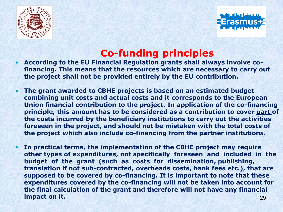



### **Co-funding principles**

- **According to the EU Financial Regulation grants shall always involve cofinancing. This means that the resources which are necessary to carry out the project shall not be provided entirely by the EU contribution.**
- **The grant awarded to CBHE projects is based on an estimated budget combining unit costs and actual costs and it corresponds to the European Union financial contribution to the project. In application of the co-financing principle, this amount has to be considered as a contribution to cover part of the costs incurred by the beneficiary institutions to carry out the activities foreseen in the project, and should not be mistaken with the total costs of the project which also include co-financing from the partner institutions.**
- **In practical terms, the implementation of the CBHE project may require other types of expenditures, not specifically foreseen and included in the budget of the grant (such as costs for dissemination, publishing, translation if not sub-contracted, overheads costs, bank fees etc.), that are supposed to be covered by co-financing. It is important to note that these expenditures covered by the co-financing will not be taken into account for the final calculation of the grant and therefore will not have any financial impact on it. 29 and 20 and 20 and 20 and 20 and 20 and 20 and 20 and 20 and 20 and 20 and 20 and 20 and 20 and 20 and 20 and 20 and 20 and 20 and 20 and 20 and 20 and 20 and 20 and 20 and 20 and 20 and 20 and 20 and 20 a**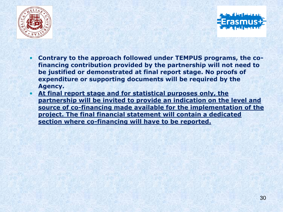



- **Contrary to the approach followed under TEMPUS programs, the cofinancing contribution provided by the partnership will not need to be justified or demonstrated at final report stage. No proofs of expenditure or supporting documents will be required by the Agency.**
- **At final report stage and for statistical purposes only, the partnership will be invited to provide an indication on the level and source of co-financing made available for the implementation of the project. The final financial statement will contain a dedicated section where co-financing will have to be reported.**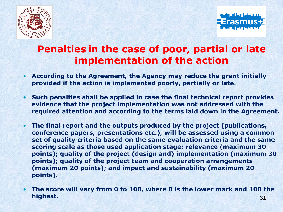



## **Penalties in the case of poor, partial or late implementation of the action**

- **According to the Agreement, the Agency may reduce the grant initially provided if the action is implemented poorly, partially or late.**
- **Such penalties shall be applied in case the final technical report provides evidence that the project implementation was not addressed with the required attention and according to the terms laid down in the Agreement.**
- **The final report and the outputs produced by the project (publications, conference papers, presentations etc.), will be assessed using a common set of quality criteria based on the same evaluation criteria and the same scoring scale as those used application stage: relevance (maximum 30 points); quality of the project (design and) implementation (maximum 30 points); quality of the project team and cooperation arrangements (maximum 20 points); and impact and sustainability (maximum 20 points).**
- **The score will vary from 0 to 100, where 0 is the lower mark and 100 the highest.** 31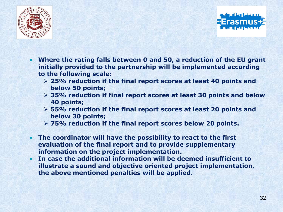



- **Where the rating falls between 0 and 50, a reduction of the EU grant initially provided to the partnership will be implemented according to the following scale:**
	- ➢ **25% reduction if the final report scores at least 40 points and below 50 points;**
	- ➢ **35% reduction if final report scores at least 30 points and below 40 points;**
	- ➢ **55% reduction if the final report scores at least 20 points and below 30 points;**
	- ➢ **75% reduction if the final report scores below 20 points.**
- **The coordinator will have the possibility to react to the first evaluation of the final report and to provide supplementary information on the project implementation.**
- **In case the additional information will be deemed insufficient to illustrate a sound and objective oriented project implementation, the above mentioned penalties will be applied.**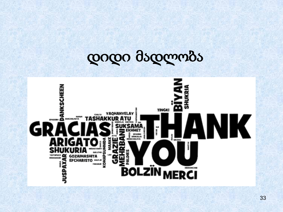# დიდი მადლობა